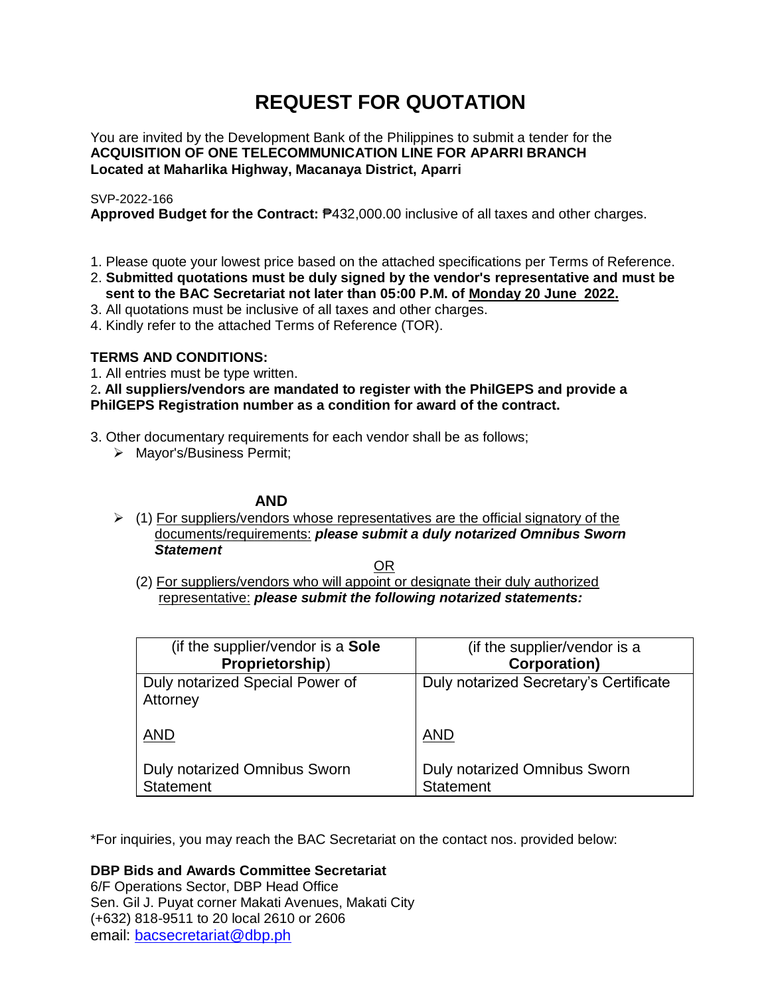# **REQUEST FOR QUOTATION**

You are invited by the Development Bank of the Philippines to submit a tender for the **ACQUISITION OF ONE TELECOMMUNICATION LINE FOR APARRI BRANCH Located at Maharlika Highway, Macanaya District, Aparri**

# SVP-2022-166

**Approved Budget for the Contract:** ₱432,000.00 inclusive of all taxes and other charges.

- 1. Please quote your lowest price based on the attached specifications per Terms of Reference.
- 2. **Submitted quotations must be duly signed by the vendor's representative and must be sent to the BAC Secretariat not later than 05:00 P.M. of Monday 20 June 2022.**
- 3. All quotations must be inclusive of all taxes and other charges.
- 4. Kindly refer to the attached Terms of Reference (TOR).

# **TERMS AND CONDITIONS:**

1. All entries must be type written.

2**. All suppliers/vendors are mandated to register with the PhilGEPS and provide a PhilGEPS Registration number as a condition for award of the contract.**

- 3. Other documentary requirements for each vendor shall be as follows;
	- > Mayor's/Business Permit;

# **AND**

 $\geq$  (1) For suppliers/vendors whose representatives are the official signatory of the documents/requirements: *please submit a duly notarized Omnibus Sworn Statement*

<u>OR Starting and the Starting OR Starting</u>

(2) For suppliers/vendors who will appoint or designate their duly authorized representative: *please submit the following notarized statements:*

| (if the supplier/vendor is a Sole                       | (if the supplier/vendor is a                            |
|---------------------------------------------------------|---------------------------------------------------------|
| Proprietorship)                                         | <b>Corporation)</b>                                     |
| Duly notarized Special Power of<br>Attorney             | Duly notarized Secretary's Certificate                  |
| <b>AND</b>                                              | <b>AND</b>                                              |
| <b>Duly notarized Omnibus Sworn</b><br><b>Statement</b> | <b>Duly notarized Omnibus Sworn</b><br><b>Statement</b> |

\*For inquiries, you may reach the BAC Secretariat on the contact nos. provided below:

**DBP Bids and Awards Committee Secretariat** 

6/F Operations Sector, DBP Head Office Sen. Gil J. Puyat corner Makati Avenues, Makati City (+632) 818-9511 to 20 local 2610 or 2606 email: [bacsecretariat@dbp.ph](mailto:bacsecretariat@dbp.ph)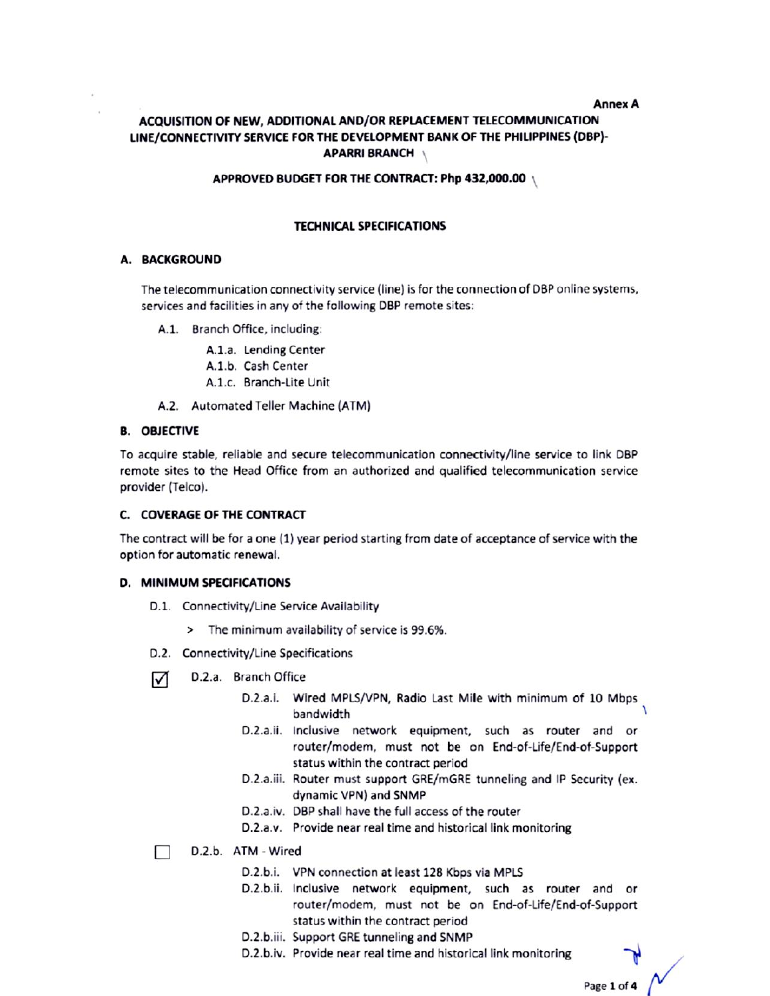#### **Annex A**

# ACOUISITION OF NEW. ADDITIONAL AND/OR REPLACEMENT TELECOMMUNICATION LINE/CONNECTIVITY SERVICE FOR THE DEVELOPMENT BANK OF THE PHILIPPINES (DBP)-**APARRI BRANCH**

#### APPROVED BUDGET FOR THE CONTRACT: Php 432,000.00

# **TECHNICAL SPECIFICATIONS**

#### **A. BACKGROUND**

The telecommunication connectivity service (line) is for the connection of DBP online systems, services and facilities in any of the following DBP remote sites:

- A.1. Branch Office, including:
	- A.1.a. Lending Center
	- A.1.b. Cash Center
	- A.1.c. Branch-Lite Unit
- A.2. Automated Teller Machine (ATM)

# **B. OBJECTIVE**

To acquire stable, reliable and secure telecommunication connectivity/line service to link DBP remote sites to the Head Office from an authorized and qualified telecommunication service provider (Telco).

# C. COVERAGE OF THE CONTRACT

The contract will be for a one (1) year period starting from date of acceptance of service with the option for automatic renewal.

# D. MINIMUM SPECIFICATIONS

- D.1. Connectivity/Line Service Availability
	- > The minimum availability of service is 99.6%.
- D.2. Connectivity/Line Specifications
- D.2.a. Branch Office ☑
	- D.2.a.i. Wired MPLS/VPN, Radio Last Mile with minimum of 10 Mbps bandwidth
	- D.2.a.ii. Inclusive network equipment, such as router and or router/modem, must not be on End-of-Life/End-of-Support status within the contract period
	- D.2.a.iii. Router must support GRE/mGRE tunneling and IP Security (ex. dynamic VPN) and SNMP
	- D.2.a.iv. DBP shall have the full access of the router
	- D.2.a.v. Provide near real time and historical link monitoring
- D.2.b. ATM Wired
	- D.2.b.i. VPN connection at least 128 Kbps via MPLS
	- D.2.b.ii. Inclusive network equipment, such as router and or router/modem, must not be on End-of-Life/End-of-Support status within the contract period
	- D.2.b.iii. Support GRE tunneling and SNMP
	- D.2.b.iv. Provide near real time and historical link monitoring

Page 1 of 4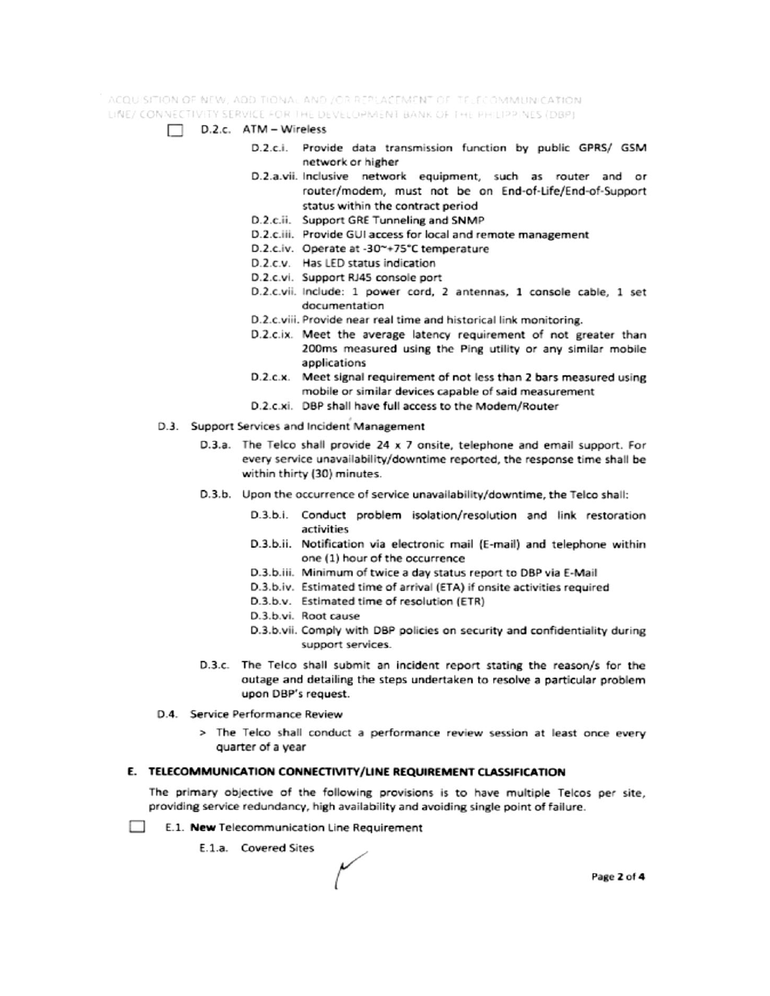ACQUISITION OF NEW, ADDITIONAL AND JOR REPLACEMENT OF TELECOMMUNICATION. LINE/ CONNECTIVITY SERVICE FOR THE DEVELOPMENT BANK OF THE PHILIPPINES (DBP)

- $\Box$  D.2.c. ATM Wireless
	- D.2.c.i. Provide data transmission function by public GPRS/ GSM network or higher
	- D.2.a.vii. Inclusive network equipment, such as router and or router/modem, must not be on End-of-Life/End-of-Support status within the contract period
	- D.2.c.ii. Support GRE Tunneling and SNMP
	- D.2.c.iii. Provide GUI access for local and remote management
	- D.2.c.iv. Operate at -30~+75°C temperature
	- D.2.c.v. Has LED status indication
	- D.2.c.vi. Support RJ45 console port
	- D.2.c.vii. Include: 1 power cord, 2 antennas, 1 console cable, 1 set documentation
	- D.2.c.viii. Provide near real time and historical link monitoring.
	- D.2.c.ix. Meet the average latency requirement of not greater than 200ms measured using the Ping utility or any similar mobile applications
	- D.2.c.x. Meet signal requirement of not less than 2 bars measured using mobile or similar devices capable of said measurement
	- D.2.c.xi. DBP shall have full access to the Modem/Router
- D.3. Support Services and Incident Management
	- D.3.a. The Telco shall provide 24 x 7 onsite, telephone and email support. For every service unavailability/downtime reported, the response time shall be within thirty (30) minutes.
	- D.3.b. Upon the occurrence of service unavailability/downtime, the Telco shall:
		- D.3.b.i. Conduct problem isolation/resolution and link restoration activities
		- D.3.b.ii. Notification via electronic mail (E-mail) and telephone within one (1) hour of the occurrence
		- D.3.b.iii. Minimum of twice a day status report to DBP via E-Mail
		- D.3.b.iv. Estimated time of arrival (ETA) if onsite activities required
		- D.3.b.v. Estimated time of resolution (ETR)
		- D.3.b.vi. Root cause
		- D.3.b.vii. Comply with DBP policies on security and confidentiality during support services.
	- D.3.c. The Telco shall submit an incident report stating the reason/s for the outage and detailing the steps undertaken to resolve a particular problem upon DBP's request.
- D.4. Service Performance Review
	- > The Telco shall conduct a performance review session at least once every quarter of a year

#### E. TELECOMMUNICATION CONNECTIVITY/LINE REQUIREMENT CLASSIFICATION

The primary objective of the following provisions is to have multiple Telcos per site, providing service redundancy, high availability and avoiding single point of failure.

- $\sim$ E.1. New Telecommunication Line Requirement
	- E.1.a. Covered Sites

Page 2 of 4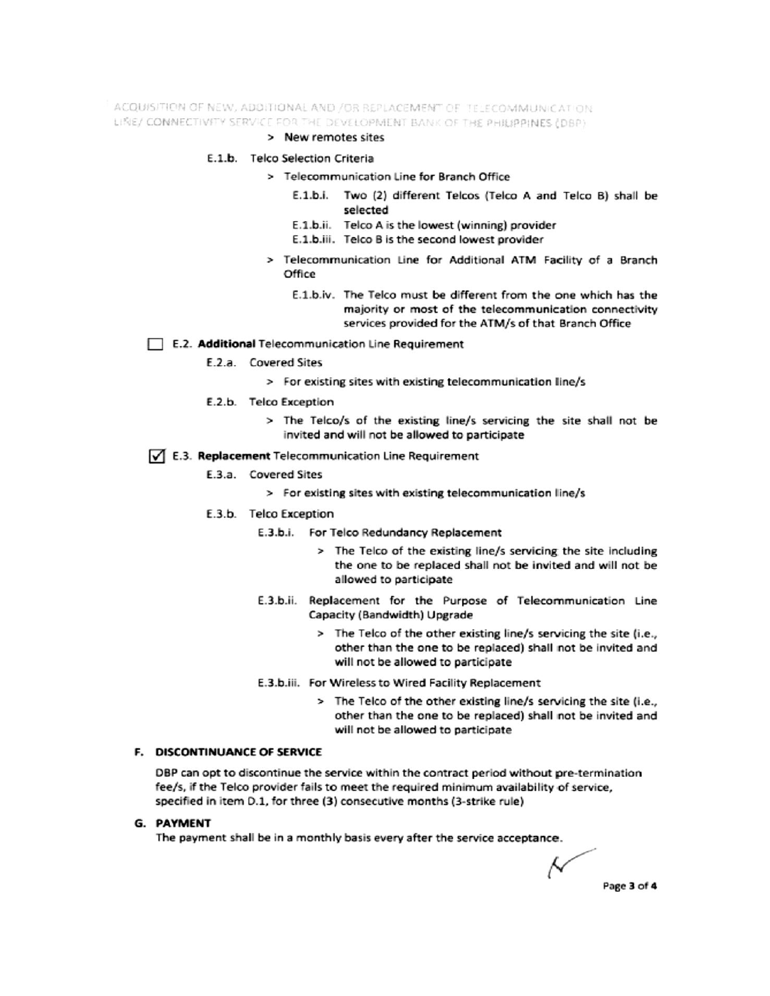ACQUISITION OF NEW, ADDITIONAL AND /OR REPLACEMENT OF TELECOMMUNICATION LINE/ CONNECTIVITY SERVICE FOR THE DEVELOPMENT BANK OF THE PHILIPPINES (DBP)

#### > New remotes sites

#### E.1.b. Telco Selection Criteria

- > Telecommunication Line for Branch Office
	- E.1.b.i. Two (2) different Telcos (Telco A and Telco B) shall be selected
	- E.1.b.ii. Telco A is the lowest (winning) provider
	- E.1.b.iii. Telco B is the second lowest provider
- > Telecommunication Line for Additional ATM Facility of a Branch Office
	- E.1.b.iv. The Telco must be different from the one which has the majority or most of the telecommunication connectivity services provided for the ATM/s of that Branch Office

#### E.2. Additional Telecommunication Line Requirement

- E.2.a. Covered Sites
	- > For existing sites with existing telecommunication line/s
- E.2.b. Telco Exception
	- > The Telco/s of the existing line/s servicing the site shall not be invited and will not be allowed to participate

#### √ E.3. Replacement Telecommunication Line Requirement

- E.3.a. Covered Sites
	- > For existing sites with existing telecommunication line/s
- E.3.b. Telco Exception
	- E.3.b.i. For Telco Redundancy Replacement
		- > The Telco of the existing line/s servicing the site including the one to be replaced shall not be invited and will not be allowed to participate
	- E.3.b.ii. Replacement for the Purpose of Telecommunication Line Capacity (Bandwidth) Upgrade
		- > The Telco of the other existing line/s servicing the site (i.e., other than the one to be replaced) shall not be invited and will not be allowed to participate
	- E.3.b.iii. For Wireless to Wired Facility Replacement
		- > The Telco of the other existing line/s servicing the site (i.e., other than the one to be replaced) shall not be invited and will not be allowed to participate

# F. DISCONTINUANCE OF SERVICE

DBP can opt to discontinue the service within the contract period without pre-termination fee/s, if the Telco provider fails to meet the required minimum availability of service, specified in item D.1, for three (3) consecutive months (3-strike rule)

#### **G. PAYMENT**

The payment shall be in a monthly basis every after the service acceptance.

Ν Page 3 of 4